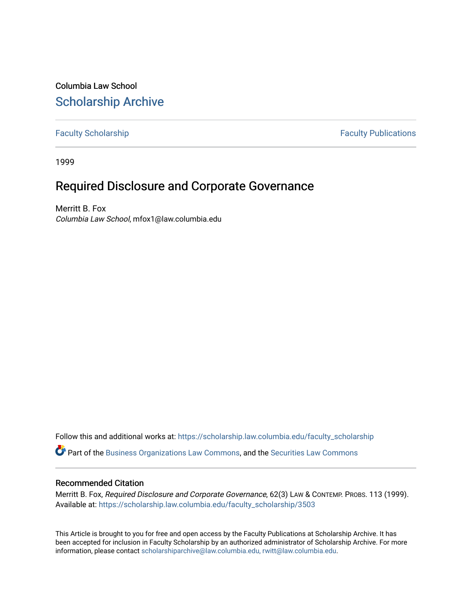Columbia Law School [Scholarship Archive](https://scholarship.law.columbia.edu/) 

[Faculty Scholarship](https://scholarship.law.columbia.edu/faculty_scholarship) **Faculty Scholarship** Faculty Publications

1999

## Required Disclosure and Corporate Governance

Merritt B. Fox Columbia Law School, mfox1@law.columbia.edu

Follow this and additional works at: [https://scholarship.law.columbia.edu/faculty\\_scholarship](https://scholarship.law.columbia.edu/faculty_scholarship?utm_source=scholarship.law.columbia.edu%2Ffaculty_scholarship%2F3503&utm_medium=PDF&utm_campaign=PDFCoverPages)

Part of the [Business Organizations Law Commons](https://network.bepress.com/hgg/discipline/900?utm_source=scholarship.law.columbia.edu%2Ffaculty_scholarship%2F3503&utm_medium=PDF&utm_campaign=PDFCoverPages), and the [Securities Law Commons](https://network.bepress.com/hgg/discipline/619?utm_source=scholarship.law.columbia.edu%2Ffaculty_scholarship%2F3503&utm_medium=PDF&utm_campaign=PDFCoverPages) 

## Recommended Citation

Merritt B. Fox, Required Disclosure and Corporate Governance, 62(3) LAW & CONTEMP. PROBS. 113 (1999). Available at: [https://scholarship.law.columbia.edu/faculty\\_scholarship/3503](https://scholarship.law.columbia.edu/faculty_scholarship/3503?utm_source=scholarship.law.columbia.edu%2Ffaculty_scholarship%2F3503&utm_medium=PDF&utm_campaign=PDFCoverPages)

This Article is brought to you for free and open access by the Faculty Publications at Scholarship Archive. It has been accepted for inclusion in Faculty Scholarship by an authorized administrator of Scholarship Archive. For more information, please contact [scholarshiparchive@law.columbia.edu, rwitt@law.columbia.edu](mailto:scholarshiparchive@law.columbia.edu,%20rwitt@law.columbia.edu).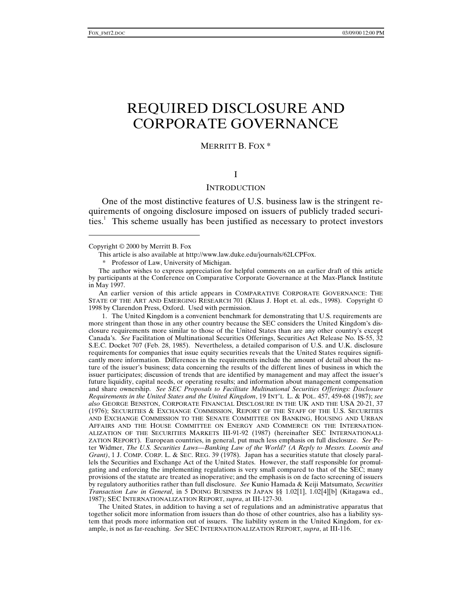# REQUIRED DISCLOSURE AND CORPORATE GOVERNANCE

MERRITT B. FOX \*

#### I

#### **INTRODUCTION**

One of the most distinctive features of U.S. business law is the stringent requirements of ongoing disclosure imposed on issuers of publicly traded securities.<sup>1</sup> This scheme usually has been justified as necessary to protect investors

1

\* Professor of Law, University of Michigan.

1. The United Kingdom is a convenient benchmark for demonstrating that U.S. requirements are more stringent than those in any other country because the SEC considers the United Kingdom's disclosure requirements more similar to those of the United States than are any other country's except Canada's. *See* Facilitation of Multinational Securities Offerings, Securities Act Release No. IS-55, 32 S.E.C. Docket 707 (Feb. 28, 1985). Nevertheless, a detailed comparison of U.S. and U.K. disclosure requirements for companies that issue equity securities reveals that the United States requires significantly more information. Differences in the requirements include the amount of detail about the nature of the issuer's business; data concerning the results of the different lines of business in which the issuer participates; discussion of trends that are identified by management and may affect the issuer's future liquidity, capital needs, or operating results; and information about management compensation and share ownership. *See SEC Proposals to Facilitate Multinational Securities Offerings: Disclosure Requirements in the United States and the United Kingdom*, 19 INT'L L. & POL. 457, 459-68 (1987); *see also* GEORGE BENSTON, CORPORATE FINANCIAL DISCLOSURE IN THE UK AND THE USA 20-21, 37 (1976); SECURITIES & EXCHANGE COMMISSION, REPORT OF THE STAFF OF THE U.S. SECURITIES AND EXCHANGE COMMISSION TO THE SENATE COMMITTEE ON BANKING, HOUSING AND URBAN AFFAIRS AND THE HOUSE COMMITTEE ON ENERGY AND COMMERCE ON THE INTERNATION-ALIZATION OF THE SECURITIES MARKETS III-91-92 (1987) (hereinafter SEC INTERNATIONALI-ZATION REPORT). European countries, in general, put much less emphasis on full disclosure. *See* Peter Widmer, *The U.S. Securities Laws—Banking Law of the World? (A Reply to Messrs. Loomis and Grant)*, 1 J. COMP. CORP. L. & SEC. REG. 39 (1978). Japan has a securities statute that closely parallels the Securities and Exchange Act of the United States. However, the staff responsible for promulgating and enforcing the implementing regulations is very small compared to that of the SEC; many provisions of the statute are treated as inoperative; and the emphasis is on de facto screening of issuers by regulatory authorities rather than full disclosure. *See* Kunio Hamada & Keiji Matsumato*, Securities Transaction Law in General*, in 5 DOING BUSINESS IN JAPAN §§ 1.02[1], 1.02[4][b] (Kitagawa ed., 1987); SEC INTERNATIONALIZATION REPORT, *supra*, at III-127-30.

The United States, in addition to having a set of regulations and an administrative apparatus that together solicit more information from issuers than do those of other countries, also has a liability system that prods more information out of issuers. The liability system in the United Kingdom, for example, is not as far-reaching. *See* SEC INTERNATIONALIZATION REPORT, *supra*, at III-116.

Copyright © 2000 by Merritt B. Fox

This article is also available at http://www.law.duke.edu/journals/62LCPFox.

The author wishes to express appreciation for helpful comments on an earlier draft of this article by participants at the Conference on Comparative Corporate Governance at the Max-Planck Institute in May 1997.

An earlier version of this article appears in COMPARATIVE CORPORATE GOVERNANCE: THE STATE OF THE ART AND EMERGING RESEARCH 701 (Klaus J. Hopt et. al. eds., 1998). Copyright © 1998 by Clarendon Press, Oxford. Used with permission.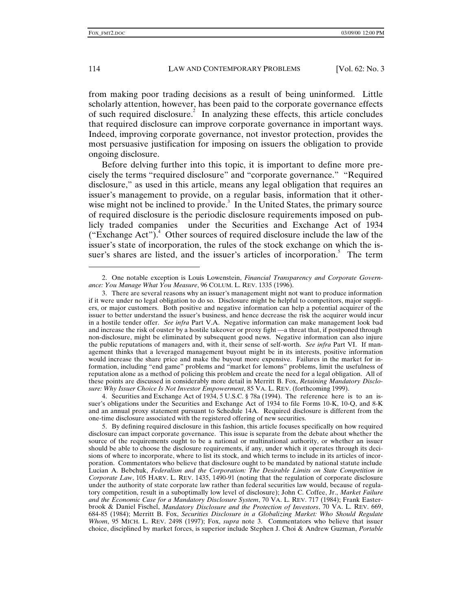from making poor trading decisions as a result of being uninformed. Little scholarly attention, however, has been paid to the corporate governance effects of such required disclosure.<sup>2</sup> In analyzing these effects, this article concludes that required disclosure can improve corporate governance in important ways. Indeed, improving corporate governance, not investor protection, provides the most persuasive justification for imposing on issuers the obligation to provide ongoing disclosure.

Before delving further into this topic, it is important to define more precisely the terms "required disclosure" and "corporate governance." "Required disclosure," as used in this article, means any legal obligation that requires an issuer's management to provide, on a regular basis, information that it otherwise might not be inclined to provide. $3$  In the United States, the primary source of required disclosure is the periodic disclosure requirements imposed on publicly traded companies under the Securities and Exchange Act of 1934 ("Exchange Act"). $\alpha$ <sup>4</sup> Other sources of required disclosure include the law of the issuer's state of incorporation, the rules of the stock exchange on which the issuer's shares are listed, and the issuer's articles of incorporation.<sup>5</sup> The term

4. Securities and Exchange Act of 1934, 5 U.S.C. § 78a (1994). The reference here is to an issuer's obligations under the Securities and Exchange Act of 1934 to file Forms 10-K, 10-Q, and 8-K and an annual proxy statement pursuant to Schedule 14A. Required disclosure is different from the one-time disclosure associated with the registered offering of new securities.

<sup>2.</sup> One notable exception is Louis Lowenstein, *Financial Transparency and Corporate Governance: You Manage What You Measure*, 96 COLUM. L. REV. 1335 (1996).

<sup>3.</sup> There are several reasons why an issuer's management might not want to produce information if it were under no legal obligation to do so. Disclosure might be helpful to competitors, major suppliers, or major customers. Both positive and negative information can help a potential acquirer of the issuer to better understand the issuer's business, and hence decrease the risk the acquirer would incur in a hostile tender offer. *See infra* Part V.A. Negative information can make management look bad and increase the risk of ouster by a hostile takeover or proxy fight —a threat that, if postponed through non-disclosure, might be eliminated by subsequent good news. Negative information can also injure the public reputations of managers and, with it, their sense of self-worth. *See infra* Part VI. If management thinks that a leveraged management buyout might be in its interests, positive information would increase the share price and make the buyout more expensive. Failures in the market for information, including "end game" problems and "market for lemons" problems, limit the usefulness of reputation alone as a method of policing this problem and create the need for a legal obligation. All of these points are discussed in considerably more detail in Merritt B. Fox, *Retaining Mandatory Disclosure: Why Issuer Choice Is Not Investor Empowerment*, 85 VA. L. REV. (forthcoming 1999).

<sup>5.</sup> By defining required disclosure in this fashion, this article focuses specifically on how required disclosure can impact corporate governance. This issue is separate from the debate about whether the source of the requirements ought to be a national or multinational authority, or whether an issuer should be able to choose the disclosure requirements, if any, under which it operates through its decisions of where to incorporate, where to list its stock, and which terms to include in its articles of incorporation. Commentators who believe that disclosure ought to be mandated by national statute include Lucian A. Bebchuk, *Federalism and the Corporation: The Desirable Limits on State Competition in Corporate Law*, 105 HARV. L. REV. 1435, 1490-91 (noting that the regulation of corporate disclosure under the authority of state corporate law rather than federal securities law would, because of regulatory competition, result in a suboptimally low level of disclosure); John C. Coffee, Jr., *Market Failure and the Economic Case for a Mandatory Disclosure System*, 70 VA. L. REV. 717 (1984); Frank Easterbrook & Daniel Fischel, *Mandatory Disclosure and the Protection of Investors*, 70 VA. L. REV. 669, 684-85 (1984); Merritt B. Fox, *Securities Disclosure in a Globalizing Market: Who Should Regulate Whom*, 95 MICH. L. REV. 2498 (1997); Fox, *supra* note 3. Commentators who believe that issuer choice, disciplined by market forces, is superior include Stephen J. Choi & Andrew Guzman, *Portable*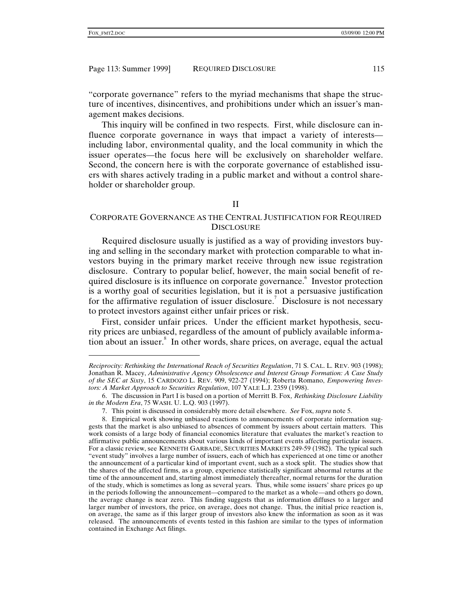"corporate governance" refers to the myriad mechanisms that shape the structure of incentives, disincentives, and prohibitions under which an issuer's management makes decisions.

This inquiry will be confined in two respects. First, while disclosure can influence corporate governance in ways that impact a variety of interests including labor, environmental quality, and the local community in which the issuer operates—the focus here will be exclusively on shareholder welfare. Second, the concern here is with the corporate governance of established issuers with shares actively trading in a public market and without a control shareholder or shareholder group.

#### II

## CORPORATE GOVERNANCE AS THE CENTRAL JUSTIFICATION FOR REQUIRED **DISCLOSURE**

Required disclosure usually is justified as a way of providing investors buying and selling in the secondary market with protection comparable to what investors buying in the primary market receive through new issue registration disclosure. Contrary to popular belief, however, the main social benefit of required disclosure is its influence on corporate governance.<sup>6</sup> Investor protection is a worthy goal of securities legislation, but it is not a persuasive justification for the affirmative regulation of issuer disclosure.<sup>7</sup> Disclosure is not necessary to protect investors against either unfair prices or risk.

First, consider unfair prices. Under the efficient market hypothesis, security prices are unbiased, regardless of the amount of publicly available information about an issuer.<sup>8</sup> In other words, share prices, on average, equal the actual

*Reciprocity: Rethinking the International Reach of Securities Regulation*, 71 S. CAL. L. REV. 903 (1998); Jonathan R. Macey, *Administrative Agency Obsolescence and Interest Group Formation: A Case Study of the SEC at Sixty*, 15 CARDOZO L. REV. 909, 922-27 (1994); Roberta Romano, *Empowering Investors: A Market Approach to Securities Regulation*, 107 YALE L.J. 2359 (1998).

<sup>6.</sup> The discussion in Part I is based on a portion of Merritt B. Fox*, Rethinking Disclosure Liability in the Modern Era*, 75 WASH. U. L.Q. 903 (1997).

<sup>7.</sup> This point is discussed in considerably more detail elsewhere. *See* Fox, *supra* note 5.

<sup>8.</sup> Empirical work showing unbiased reactions to announcements of corporate information suggests that the market is also unbiased to absences of comment by issuers about certain matters. This work consists of a large body of financial economics literature that evaluates the market's reaction to affirmative public announcements about various kinds of important events affecting particular issuers. For a classic review, see KENNETH GARBADE, SECURITIES MARKETS 249-59 (1982). The typical such "event study" involves a large number of issuers, each of which has experienced at one time or another the announcement of a particular kind of important event, such as a stock split. The studies show that the shares of the affected firms, as a group, experience statistically significant abnormal returns at the time of the announcement and, starting almost immediately thereafter, normal returns for the duration of the study, which is sometimes as long as several years. Thus, while some issuers' share prices go up in the periods following the announcement—compared to the market as a whole—and others go down, the average change is near zero. This finding suggests that as information diffuses to a larger and larger number of investors, the price, on average, does not change. Thus, the initial price reaction is, on average, the same as if this larger group of investors also knew the information as soon as it was released. The announcements of events tested in this fashion are similar to the types of information contained in Exchange Act filings.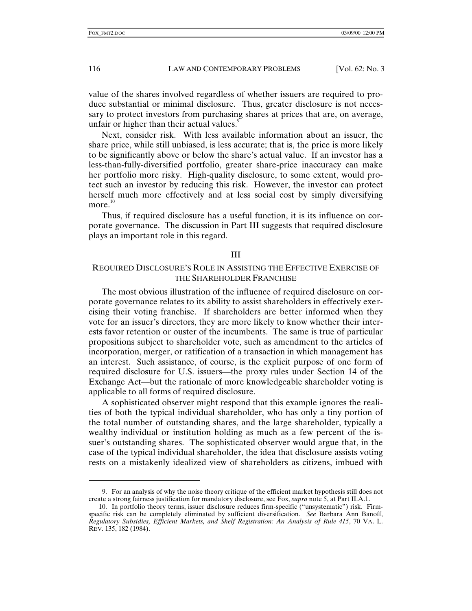value of the shares involved regardless of whether issuers are required to produce substantial or minimal disclosure. Thus, greater disclosure is not necessary to protect investors from purchasing shares at prices that are, on average, unfair or higher than their actual values.<sup>9</sup>

Next, consider risk. With less available information about an issuer, the share price, while still unbiased, is less accurate; that is, the price is more likely to be significantly above or below the share's actual value. If an investor has a less-than-fully-diversified portfolio, greater share-price inaccuracy can make her portfolio more risky. High-quality disclosure, to some extent, would protect such an investor by reducing this risk. However, the investor can protect herself much more effectively and at less social cost by simply diversifying more. $10$ 

Thus, if required disclosure has a useful function, it is its influence on corporate governance. The discussion in Part III suggests that required disclosure plays an important role in this regard.

#### III

## REQUIRED DISCLOSURE'S ROLE IN ASSISTING THE EFFECTIVE EXERCISE OF THE SHAREHOLDER FRANCHISE

The most obvious illustration of the influence of required disclosure on corporate governance relates to its ability to assist shareholders in effectively exercising their voting franchise. If shareholders are better informed when they vote for an issuer's directors, they are more likely to know whether their interests favor retention or ouster of the incumbents. The same is true of particular propositions subject to shareholder vote, such as amendment to the articles of incorporation, merger, or ratification of a transaction in which management has an interest. Such assistance, of course, is the explicit purpose of one form of required disclosure for U.S. issuers—the proxy rules under Section 14 of the Exchange Act—but the rationale of more knowledgeable shareholder voting is applicable to all forms of required disclosure.

A sophisticated observer might respond that this example ignores the realities of both the typical individual shareholder, who has only a tiny portion of the total number of outstanding shares, and the large shareholder, typically a wealthy individual or institution holding as much as a few percent of the issuer's outstanding shares. The sophisticated observer would argue that, in the case of the typical individual shareholder, the idea that disclosure assists voting rests on a mistakenly idealized view of shareholders as citizens, imbued with

1

<sup>9.</sup> For an analysis of why the noise theory critique of the efficient market hypothesis still does not create a strong fairness justification for mandatory disclosure, see Fox, *supra* note 5, at Part II.A.1.

<sup>10.</sup> In portfolio theory terms, issuer disclosure reduces firm-specific ("unsystematic") risk. Firmspecific risk can be completely eliminated by sufficient diversification. *See* Barbara Ann Banoff, *Regulatory Subsidies, Efficient Markets, and Shelf Registration: An Analysis of Rule 415*, 70 VA. L. REV. 135, 182 (1984).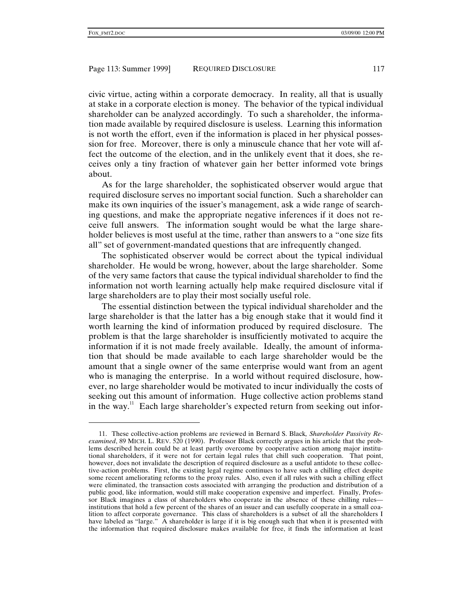civic virtue, acting within a corporate democracy. In reality, all that is usually at stake in a corporate election is money. The behavior of the typical individual shareholder can be analyzed accordingly. To such a shareholder, the information made available by required disclosure is useless. Learning this information is not worth the effort, even if the information is placed in her physical possession for free. Moreover, there is only a minuscule chance that her vote will affect the outcome of the election, and in the unlikely event that it does, she receives only a tiny fraction of whatever gain her better informed vote brings about.

As for the large shareholder, the sophisticated observer would argue that required disclosure serves no important social function. Such a shareholder can make its own inquiries of the issuer's management, ask a wide range of searching questions, and make the appropriate negative inferences if it does not receive full answers. The information sought would be what the large shareholder believes is most useful at the time, rather than answers to a "one size fits all" set of government-mandated questions that are infrequently changed.

The sophisticated observer would be correct about the typical individual shareholder. He would be wrong, however, about the large shareholder. Some of the very same factors that cause the typical individual shareholder to find the information not worth learning actually help make required disclosure vital if large shareholders are to play their most socially useful role.

The essential distinction between the typical individual shareholder and the large shareholder is that the latter has a big enough stake that it would find it worth learning the kind of information produced by required disclosure. The problem is that the large shareholder is insufficiently motivated to acquire the information if it is not made freely available. Ideally, the amount of information that should be made available to each large shareholder would be the amount that a single owner of the same enterprise would want from an agent who is managing the enterprise. In a world without required disclosure, however, no large shareholder would be motivated to incur individually the costs of seeking out this amount of information. Huge collective action problems stand in the way.<sup>11</sup> Each large shareholder's expected return from seeking out infor-

<sup>11.</sup> These collective-action problems are reviewed in Bernard S. Black*, Shareholder Passivity Reexamined*, 89 MICH. L. REV. 520 (1990). Professor Black correctly argues in his article that the problems described herein could be at least partly overcome by cooperative action among major institutional shareholders, if it were not for certain legal rules that chill such cooperation. That point, however, does not invalidate the description of required disclosure as a useful antidote to these collective-action problems. First, the existing legal regime continues to have such a chilling effect despite some recent ameliorating reforms to the proxy rules. Also, even if all rules with such a chilling effect were eliminated, the transaction costs associated with arranging the production and distribution of a public good, like information, would still make cooperation expensive and imperfect. Finally, Professor Black imagines a class of shareholders who cooperate in the absence of these chilling rules institutions that hold a few percent of the shares of an issuer and can usefully cooperate in a small coalition to affect corporate governance. This class of shareholders is a subset of all the shareholders I have labeled as "large." A shareholder is large if it is big enough such that when it is presented with the information that required disclosure makes available for free, it finds the information at least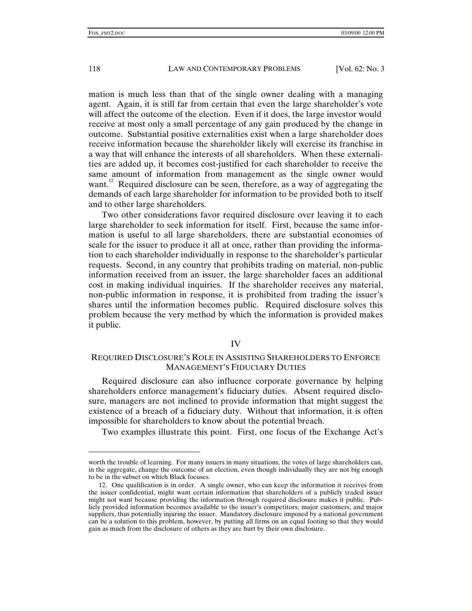mation is much less than that of the single owner dealing with a managing agent. Again, it is still far from certain that even the large shareholder's vote will affect the outcome of the election. Even if it does, the large investor would receive at most only a small percentage of any gain produced by the change in outcome. Substantial positive externalities exist when a large shareholder does receive information because the shareholder likely will exercise its franchise in a way that will enhance the interests of all shareholders. When these externalities are added up, it becomes cost-justified for each shareholder to receive the same amount of information from management as the single owner would want.<sup>12</sup> Required disclosure can be seen, therefore, as a way of aggregating the demands of each large shareholder for information to be provided both to itself and to other large shareholders.

Two other considerations favor required disclosure over leaving it to each large shareholder to seek information for itself. First, because the same information is useful to all large shareholders, there are substantial economies of scale for the issuer to produce it all at once, rather than providing the information to each shareholder individually in response to the shareholder's particular requests. Second, in any country that prohibits trading on material, non-public information received from an issuer, the large shareholder faces an additional cost in making individual inquiries. If the shareholder receives any material, non-public information in response, it is prohibited from trading the issuer's shares until the information becomes public. Required disclosure solves this problem because the very method by which the information is provided makes it public.

#### IV

## REQUIRED DISCLOSURE'S ROLE IN ASSISTING SHAREHOLDERS TO ENFORCE MANAGEMENT'S FIDUCIARY DUTIES

Required disclosure can also influence corporate governance by helping shareholders enforce management's fiduciary duties. Absent required disclosure, managers are not inclined to provide information that might suggest the existence of a breach of a fiduciary duty. Without that information, it is often impossible for shareholders to know about the potential breach.

Two examples illustrate this point. First, one focus of the Exchange Act's

worth the trouble of learning. For many issuers in many situations, the votes of large shareholders can, in the aggregate, change the outcome of an election, even though individually they are not big enough to be in the subset on which Black focuses.

<sup>12.</sup> One qualification is in order. A single owner, who can keep the information it receives from the issuer confidential, might want certain information that shareholders of a publicly traded issuer might not want because providing the information through required disclosure makes it public. Publicly provided information becomes available to the issuer's competitors, major customers, and major suppliers, thus potentially injuring the issuer. Mandatory disclosure imposed by a national government can be a solution to this problem, however, by putting all firms on an equal footing so that they would gain as much from the disclosure of others as they are hurt by their own disclosure.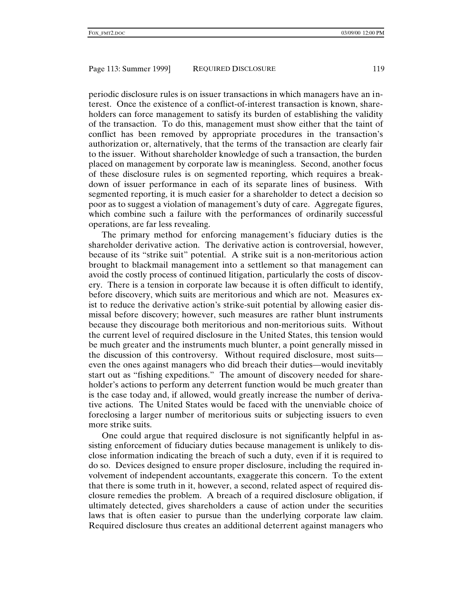periodic disclosure rules is on issuer transactions in which managers have an interest. Once the existence of a conflict-of-interest transaction is known, shareholders can force management to satisfy its burden of establishing the validity of the transaction. To do this, management must show either that the taint of conflict has been removed by appropriate procedures in the transaction's authorization or, alternatively, that the terms of the transaction are clearly fair to the issuer. Without shareholder knowledge of such a transaction, the burden placed on management by corporate law is meaningless. Second, another focus of these disclosure rules is on segmented reporting, which requires a breakdown of issuer performance in each of its separate lines of business. With segmented reporting, it is much easier for a shareholder to detect a decision so poor as to suggest a violation of management's duty of care. Aggregate figures, which combine such a failure with the performances of ordinarily successful operations, are far less revealing.

The primary method for enforcing management's fiduciary duties is the shareholder derivative action. The derivative action is controversial, however, because of its "strike suit" potential. A strike suit is a non-meritorious action brought to blackmail management into a settlement so that management can avoid the costly process of continued litigation, particularly the costs of discovery. There is a tension in corporate law because it is often difficult to identify, before discovery, which suits are meritorious and which are not. Measures exist to reduce the derivative action's strike-suit potential by allowing easier dismissal before discovery; however, such measures are rather blunt instruments because they discourage both meritorious and non-meritorious suits. Without the current level of required disclosure in the United States, this tension would be much greater and the instruments much blunter, a point generally missed in the discussion of this controversy. Without required disclosure, most suits even the ones against managers who did breach their duties—would inevitably start out as "fishing expeditions." The amount of discovery needed for shareholder's actions to perform any deterrent function would be much greater than is the case today and, if allowed, would greatly increase the number of derivative actions. The United States would be faced with the unenviable choice of foreclosing a larger number of meritorious suits or subjecting issuers to even more strike suits.

One could argue that required disclosure is not significantly helpful in assisting enforcement of fiduciary duties because management is unlikely to disclose information indicating the breach of such a duty, even if it is required to do so. Devices designed to ensure proper disclosure, including the required involvement of independent accountants, exaggerate this concern. To the extent that there is some truth in it, however, a second, related aspect of required disclosure remedies the problem. A breach of a required disclosure obligation, if ultimately detected, gives shareholders a cause of action under the securities laws that is often easier to pursue than the underlying corporate law claim. Required disclosure thus creates an additional deterrent against managers who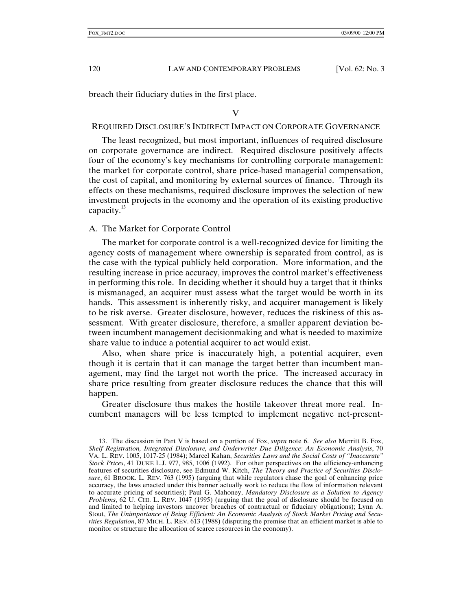breach their fiduciary duties in the first place.

#### V

#### REQUIRED DISCLOSURE'S INDIRECT IMPACT ON CORPORATE GOVERNANCE

The least recognized, but most important, influences of required disclosure on corporate governance are indirect. Required disclosure positively affects four of the economy's key mechanisms for controlling corporate management: the market for corporate control, share price-based managerial compensation, the cost of capital, and monitoring by external sources of finance. Through its effects on these mechanisms, required disclosure improves the selection of new investment projects in the economy and the operation of its existing productive capacity. $13$ 

#### A. The Market for Corporate Control

The market for corporate control is a well-recognized device for limiting the agency costs of management where ownership is separated from control, as is the case with the typical publicly held corporation. More information, and the resulting increase in price accuracy, improves the control market's effectiveness in performing this role. In deciding whether it should buy a target that it thinks is mismanaged, an acquirer must assess what the target would be worth in its hands. This assessment is inherently risky, and acquirer management is likely to be risk averse. Greater disclosure, however, reduces the riskiness of this assessment. With greater disclosure, therefore, a smaller apparent deviation between incumbent management decisionmaking and what is needed to maximize share value to induce a potential acquirer to act would exist.

Also, when share price is inaccurately high, a potential acquirer, even though it is certain that it can manage the target better than incumbent management, may find the target not worth the price. The increased accuracy in share price resulting from greater disclosure reduces the chance that this will happen.

Greater disclosure thus makes the hostile takeover threat more real. Incumbent managers will be less tempted to implement negative net-present-

<sup>13.</sup> The discussion in Part V is based on a portion of Fox, *supra* note 6. *See also* Merritt B. Fox, *Shelf Registration, Integrated Disclosure, and Underwriter Due Diligence: An Economic Analysis*, 70 VA. L. REV. 1005, 1017-25 (1984); Marcel Kahan, *Securities Laws and the Social Costs of "Inaccurate" Stock Prices*, 41 DUKE L.J. 977, 985, 1006 (1992). For other perspectives on the efficiency-enhancing features of securities disclosure, see Edmund W. Kitch, *The Theory and Practice of Securities Disclosure*, 61 BROOK. L. REV. 763 (1995) (arguing that while regulators chase the goal of enhancing price accuracy, the laws enacted under this banner actually work to reduce the flow of information relevant to accurate pricing of securities); Paul G. Mahoney, *Mandatory Disclosure as a Solution to Agency Problems*, 62 U. CHI. L. REV. 1047 (1995) (arguing that the goal of disclosure should be focused on and limited to helping investors uncover breaches of contractual or fiduciary obligations); Lynn A. Stout, *The Unimportance of Being Efficient: An Economic Analysis of Stock Market Pricing and Securities Regulation*, 87 MICH. L. REV. 613 (1988) (disputing the premise that an efficient market is able to monitor or structure the allocation of scarce resources in the economy).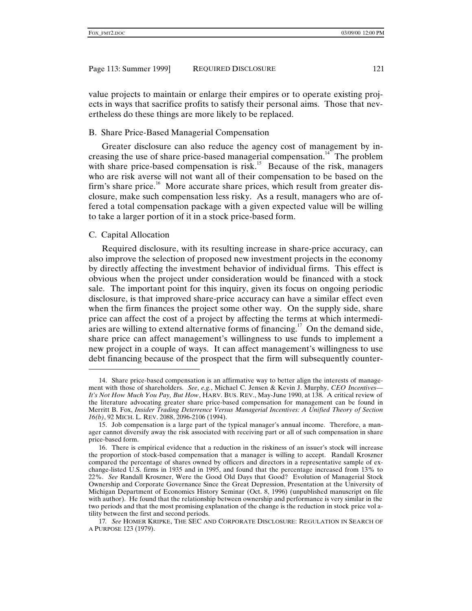value projects to maintain or enlarge their empires or to operate existing projects in ways that sacrifice profits to satisfy their personal aims. Those that nevertheless do these things are more likely to be replaced.

#### B. Share Price-Based Managerial Compensation

Greater disclosure can also reduce the agency cost of management by increasing the use of share price-based managerial compensation.<sup>14</sup> The problem with share price-based compensation is risk.<sup>15</sup> Because of the risk, managers who are risk averse will not want all of their compensation to be based on the firm's share price.<sup>16</sup> More accurate share prices, which result from greater disclosure, make such compensation less risky. As a result, managers who are offered a total compensation package with a given expected value will be willing to take a larger portion of it in a stock price-based form.

#### C. Capital Allocation

-

Required disclosure, with its resulting increase in share-price accuracy, can also improve the selection of proposed new investment projects in the economy by directly affecting the investment behavior of individual firms. This effect is obvious when the project under consideration would be financed with a stock sale. The important point for this inquiry, given its focus on ongoing periodic disclosure, is that improved share-price accuracy can have a similar effect even when the firm finances the project some other way. On the supply side, share price can affect the cost of a project by affecting the terms at which intermediaries are willing to extend alternative forms of financing.<sup>17</sup> On the demand side, share price can affect management's willingness to use funds to implement a new project in a couple of ways. It can affect management's willingness to use debt financing because of the prospect that the firm will subsequently counter-

<sup>14.</sup> Share price-based compensation is an affirmative way to better align the interests of management with those of shareholders. *See*, *e.g.*, Michael C. Jensen & Kevin J. Murphy, *CEO Incentives— It's Not How Much You Pay, But How*, HARV. BUS. REV., May-June 1990, at 138. A critical review of the literature advocating greater share price-based compensation for management can be found in Merritt B. Fox, *Insider Trading Deterrence Versus Managerial Incentives: A Unified Theory of Section 16(b)*, 92 MICH. L. REV. 2088, 2096-2106 (1994).

<sup>15.</sup> Job compensation is a large part of the typical manager's annual income. Therefore, a manager cannot diversify away the risk associated with receiving part or all of such compensation in share price-based form.

<sup>16.</sup> There is empirical evidence that a reduction in the riskiness of an issuer's stock will increase the proportion of stock-based compensation that a manager is willing to accept. Randall Kroszner compared the percentage of shares owned by officers and directors in a representative sample of exchange-listed U.S. firms in 1935 and in 1995, and found that the percentage increased from 13% to 22%. *See* Randall Kroszner, Were the Good Old Days that Good? Evolution of Managerial Stock Ownership and Corporate Governance Since the Great Depression, Presentation at the University of Michigan Department of Economics History Seminar (Oct. 8, 1996) (unpublished manuscript on file with author). He found that the relationship between ownership and performance is very similar in the two periods and that the most promising explanation of the change is the reduction in stock price vol atility between the first and second periods.

<sup>17</sup>*. See* HOMER KRIPKE, THE SEC AND CORPORATE DISCLOSURE: REGULATION IN SEARCH OF A PURPOSE 123 (1979).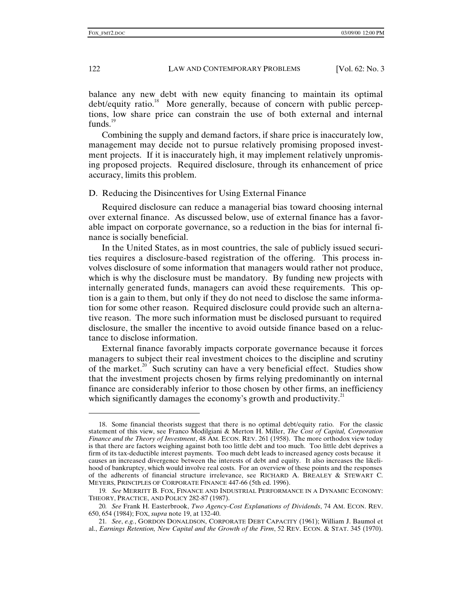balance any new debt with new equity financing to maintain its optimal debt/equity ratio.<sup>18</sup> More generally, because of concern with public perceptions, low share price can constrain the use of both external and internal funds. $19$ 

Combining the supply and demand factors, if share price is inaccurately low, management may decide not to pursue relatively promising proposed investment projects. If it is inaccurately high, it may implement relatively unpromising proposed projects. Required disclosure, through its enhancement of price accuracy, limits this problem.

#### D. Reducing the Disincentives for Using External Finance

Required disclosure can reduce a managerial bias toward choosing internal over external finance. As discussed below, use of external finance has a favorable impact on corporate governance, so a reduction in the bias for internal finance is socially beneficial.

In the United States, as in most countries, the sale of publicly issued securities requires a disclosure-based registration of the offering. This process involves disclosure of some information that managers would rather not produce, which is why the disclosure must be mandatory. By funding new projects with internally generated funds, managers can avoid these requirements. This option is a gain to them, but only if they do not need to disclose the same information for some other reason. Required disclosure could provide such an alternative reason. The more such information must be disclosed pursuant to required disclosure, the smaller the incentive to avoid outside finance based on a reluctance to disclose information.

External finance favorably impacts corporate governance because it forces managers to subject their real investment choices to the discipline and scrutiny of the market.<sup>20</sup> Such scrutiny can have a very beneficial effect. Studies show that the investment projects chosen by firms relying predominantly on internal finance are considerably inferior to those chosen by other firms, an inefficiency which significantly damages the economy's growth and productivity.<sup>21</sup>

<sup>18.</sup> Some financial theorists suggest that there is no optimal debt/equity ratio. For the classic statement of this view, see Franco Modilgiani & Merton H. Miller, *The Cost of Capital, Corporation Finance and the Theory of Investment*, 48 AM. ECON. REV. 261 (1958). The more orthodox view today is that there are factors weighing against both too little debt and too much. Too little debt deprives a firm of its tax-deductible interest payments. Too much debt leads to increased agency costs because it causes an increased divergence between the interests of debt and equity. It also increases the likelihood of bankruptcy, which would involve real costs. For an overview of these points and the responses of the adherents of financial structure irrelevance, see RICHARD A. BREALEY & STEWART C. MEYERS, PRINCIPLES OF CORPORATE FINANCE 447-66 (5th ed. 1996).

<sup>19</sup>*. See* MERRITT B. FOX, FINANCE AND INDUSTRIAL PERFORMANCE IN A DYNAMIC ECONOMY: THEORY, PRACTICE, AND POLICY 282-87 (1987).

<sup>20</sup>*. See* Frank H. Easterbrook, *Two Agency-Cost Explanations of Dividends*, 74 AM. ECON. REV. 650, 654 (1984); FOX, *supra* note 19, at 132-40.

<sup>21</sup>*. See*, *e.g.*, GORDON DONALDSON, CORPORATE DEBT CAPACITY (1961); William J. Baumol et al., *Earnings Retention, New Capital and the Growth of the Firm*, 52 REV. ECON. & STAT. 345 (1970).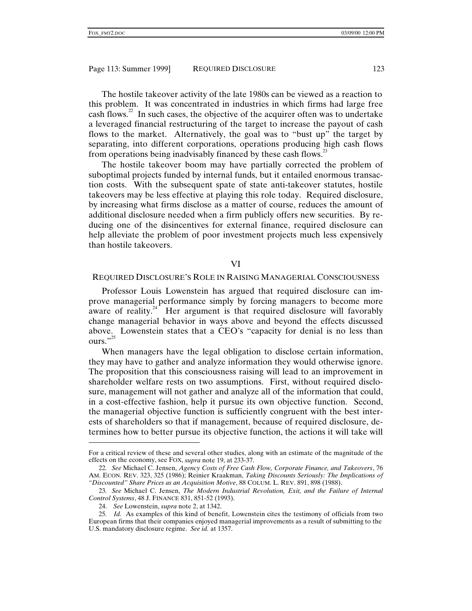The hostile takeover activity of the late 1980s can be viewed as a reaction to this problem. It was concentrated in industries in which firms had large free cash flows. $^{22}$  In such cases, the objective of the acquirer often was to undertake a leveraged financial restructuring of the target to increase the payout of cash flows to the market. Alternatively, the goal was to "bust up" the target by separating, into different corporations, operations producing high cash flows from operations being inadvisably financed by these cash flows.<sup>23</sup>

The hostile takeover boom may have partially corrected the problem of suboptimal projects funded by internal funds, but it entailed enormous transaction costs. With the subsequent spate of state anti-takeover statutes, hostile takeovers may be less effective at playing this role today. Required disclosure, by increasing what firms disclose as a matter of course, reduces the amount of additional disclosure needed when a firm publicly offers new securities. By reducing one of the disincentives for external finance, required disclosure can help alleviate the problem of poor investment projects much less expensively than hostile takeovers.

#### VI

#### REQUIRED DISCLOSURE'S ROLE IN RAISING MANAGERIAL CONSCIOUSNESS

Professor Louis Lowenstein has argued that required disclosure can improve managerial performance simply by forcing managers to become more aware of reality. $24$  Her argument is that required disclosure will favorably change managerial behavior in ways above and beyond the effects discussed above. Lowenstein states that a CEO's "capacity for denial is no less than ours."<sup>25</sup>

When managers have the legal obligation to disclose certain information, they may have to gather and analyze information they would otherwise ignore. The proposition that this consciousness raising will lead to an improvement in shareholder welfare rests on two assumptions. First, without required disclosure, management will not gather and analyze all of the information that could, in a cost-effective fashion, help it pursue its own objective function. Second, the managerial objective function is sufficiently congruent with the best interests of shareholders so that if management, because of required disclosure, determines how to better pursue its objective function, the actions it will take will

For a critical review of these and several other studies, along with an estimate of the magnitude of the effects on the economy, see FOX, *supra* note 19, at 233-37.

<sup>22</sup>*. See* Michael C. Jensen, *Agency Costs of Free Cash Flow, Corporate Finance, and Takeovers*, 76 AM. ECON. REV. 323, 325 (1986); Reinier Kraakman, *Taking Discounts Seriously: The Implications of "Discounted" Share Prices as an Acquisition Motive*, 88 COLUM. L. REV. 891, 898 (1988).

<sup>23</sup>*. See* Michael C. Jensen, *The Modern Industrial Revolution, Exit, and the Failure of Internal Control Systems*, 48 J. FINANCE 831, 851-52 (1993).

<sup>24.</sup> *See* Lowenstein, *supra* note 2, at 1342.

<sup>25</sup>*. Id.* As examples of this kind of benefit, Lowenstein cites the testimony of officials from two European firms that their companies enjoyed managerial improvements as a result of submitting to the U.S. mandatory disclosure regime. *See id.* at 1357.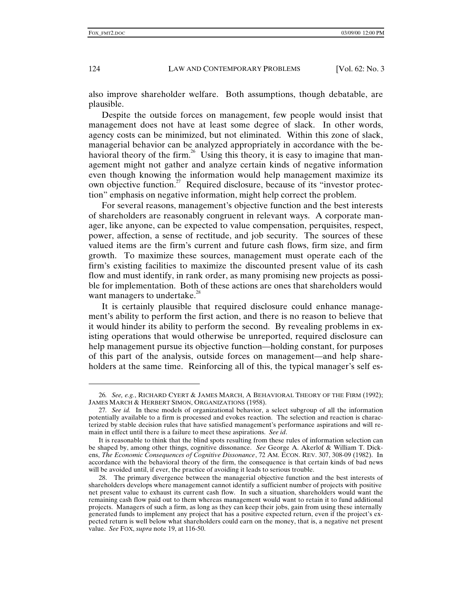also improve shareholder welfare. Both assumptions, though debatable, are plausible.

Despite the outside forces on management, few people would insist that management does not have at least some degree of slack. In other words, agency costs can be minimized, but not eliminated. Within this zone of slack, managerial behavior can be analyzed appropriately in accordance with the behavioral theory of the firm.<sup>26</sup> Using this theory, it is easy to imagine that management might not gather and analyze certain kinds of negative information even though knowing the information would help management maximize its own objective function.27 Required disclosure, because of its "investor protection" emphasis on negative information, might help correct the problem.

For several reasons, management's objective function and the best interests of shareholders are reasonably congruent in relevant ways. A corporate manager, like anyone, can be expected to value compensation, perquisites, respect, power, affection, a sense of rectitude, and job security. The sources of these valued items are the firm's current and future cash flows, firm size, and firm growth. To maximize these sources, management must operate each of the firm's existing facilities to maximize the discounted present value of its cash flow and must identify, in rank order, as many promising new projects as possible for implementation. Both of these actions are ones that shareholders would want managers to undertake.<sup>28</sup>

It is certainly plausible that required disclosure could enhance management's ability to perform the first action, and there is no reason to believe that it would hinder its ability to perform the second. By revealing problems in existing operations that would otherwise be unreported, required disclosure can help management pursue its objective function—holding constant, for purposes of this part of the analysis, outside forces on management—and help shareholders at the same time. Reinforcing all of this, the typical manager's self es-

1

<sup>26</sup>*. See, e.g.*, RICHARD CYERT & JAMES MARCH, A BEHAVIORAL THEORY OF THE FIRM (1992); JAMES MARCH & HERBERT SIMON, ORGANIZATIONS (1958).

<sup>27</sup>*. See id.* In these models of organizational behavior, a select subgroup of all the information potentially available to a firm is processed and evokes reaction. The selection and reaction is characterized by stable decision rules that have satisfied management's performance aspirations and will remain in effect until there is a failure to meet these aspirations. *See id*.

It is reasonable to think that the blind spots resulting from these rules of information selection can be shaped by, among other things, cognitive dissonance. *See* George A. Akerlof & William T. Dickens, *The Economic Consequences of Cognitive Dissonance*, 72 AM. ECON. REV. 307, 308-09 (1982). In accordance with the behavioral theory of the firm, the consequence is that certain kinds of bad news will be avoided until, if ever, the practice of avoiding it leads to serious trouble.

<sup>28.</sup> The primary divergence between the managerial objective function and the best interests of shareholders develops where management cannot identify a sufficient number of projects with positive net present value to exhaust its current cash flow. In such a situation, shareholders would want the remaining cash flow paid out to them whereas management would want to retain it to fund additional projects. Managers of such a firm, as long as they can keep their jobs, gain from using these internally generated funds to implement any project that has a positive expected return, even if the project's expected return is well below what shareholders could earn on the money, that is, a negative net present value. *See* FOX, *supra* note 19, at 116-50.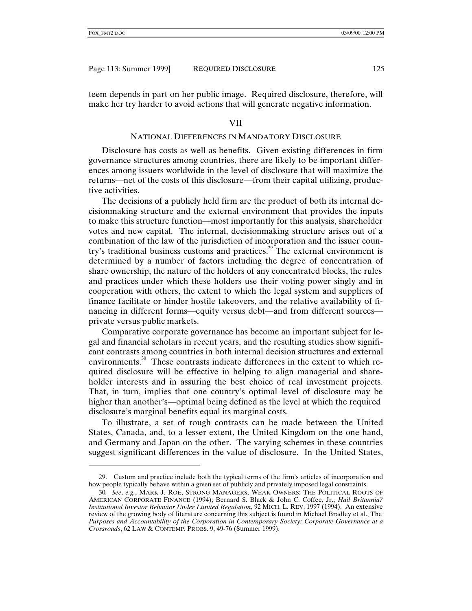teem depends in part on her public image. Required disclosure, therefore, will make her try harder to avoid actions that will generate negative information.

#### VII

### NATIONAL DIFFERENCES IN MANDATORY DISCLOSURE

Disclosure has costs as well as benefits. Given existing differences in firm governance structures among countries, there are likely to be important differences among issuers worldwide in the level of disclosure that will maximize the returns—net of the costs of this disclosure—from their capital utilizing, productive activities.

The decisions of a publicly held firm are the product of both its internal decisionmaking structure and the external environment that provides the inputs to make this structure function—most importantly for this analysis, shareholder votes and new capital. The internal, decisionmaking structure arises out of a combination of the law of the jurisdiction of incorporation and the issuer country's traditional business customs and practices.<sup>29</sup> The external environment is determined by a number of factors including the degree of concentration of share ownership, the nature of the holders of any concentrated blocks, the rules and practices under which these holders use their voting power singly and in cooperation with others, the extent to which the legal system and suppliers of finance facilitate or hinder hostile takeovers, and the relative availability of financing in different forms—equity versus debt—and from different sources private versus public markets.

Comparative corporate governance has become an important subject for legal and financial scholars in recent years, and the resulting studies show significant contrasts among countries in both internal decision structures and external environments.<sup>30</sup> These contrasts indicate differences in the extent to which required disclosure will be effective in helping to align managerial and shareholder interests and in assuring the best choice of real investment projects. That, in turn, implies that one country's optimal level of disclosure may be higher than another's—optimal being defined as the level at which the required disclosure's marginal benefits equal its marginal costs.

To illustrate, a set of rough contrasts can be made between the United States, Canada, and, to a lesser extent, the United Kingdom on the one hand, and Germany and Japan on the other. The varying schemes in these countries suggest significant differences in the value of disclosure. In the United States,

<sup>29.</sup> Custom and practice include both the typical terms of the firm's articles of incorporation and how people typically behave within a given set of publicly and privately imposed legal constraints.

<sup>30</sup>*. See*, *e.g.*, MARK J. ROE, STRONG MANAGERS, WEAK OWNERS: THE POLITICAL ROOTS OF AMERICAN CORPORATE FINANCE (1994); Bernard S. Black & John C. Coffee, Jr., *Hail Britannia? Institutional Investor Behavior Under Limited Regulation*, 92 MICH. L. REV. 1997 (1994). An extensive review of the growing body of literature concerning this subject is found in Michael Bradley et al., The *Purposes and Accountability of the Corporation in Contemporary Society: Corporate Governance at a Crossroads*, 62 LAW & CONTEMP. PROBS. 9, 49-76 (Summer 1999).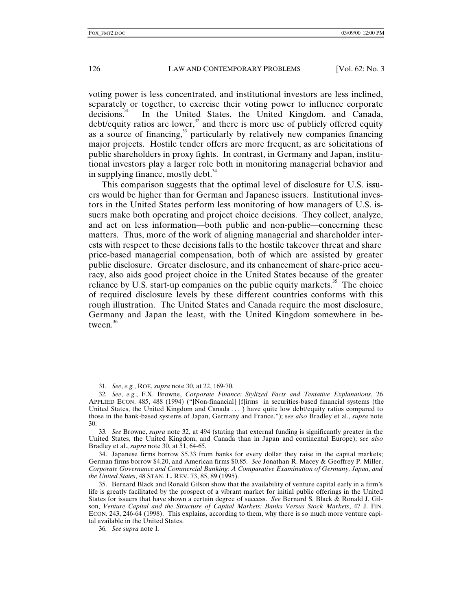voting power is less concentrated, and institutional investors are less inclined, separately or together, to exercise their voting power to influence corporate decisions.<sup>31</sup> In the United States, the United Kingdom, and Canada, debt/equity ratios are lower, $32$  and there is more use of publicly offered equity as a source of financing, $33$  particularly by relatively new companies financing major projects. Hostile tender offers are more frequent, as are solicitations of public shareholders in proxy fights. In contrast, in Germany and Japan, institutional investors play a larger role both in monitoring managerial behavior and in supplying finance, mostly debt. $34$ 

This comparison suggests that the optimal level of disclosure for U.S. issuers would be higher than for German and Japanese issuers. Institutional investors in the United States perform less monitoring of how managers of U.S. issuers make both operating and project choice decisions. They collect, analyze, and act on less information—both public and non-public—concerning these matters. Thus, more of the work of aligning managerial and shareholder interests with respect to these decisions falls to the hostile takeover threat and share price-based managerial compensation, both of which are assisted by greater public disclosure. Greater disclosure, and its enhancement of share-price accuracy, also aids good project choice in the United States because of the greater reliance by U.S. start-up companies on the public equity markets.<sup>35</sup> The choice of required disclosure levels by these different countries conforms with this rough illustration. The United States and Canada require the most disclosure, Germany and Japan the least, with the United Kingdom somewhere in between. $36$ 

1

<sup>31</sup>*. See*, *e.g.*, ROE, *supra* note 30, at 22, 169-70.

<sup>32</sup>*. See*, *e.g.*, F.X. Browne, *Corporate Finance: Stylized Facts and Tentative Explanations*, 26 APPLIED ECON. 485, 488 (1994) ("[Non-financial] [f]irms in securities-based financial systems (the United States, the United Kingdom and Canada . . . ) have quite low debt/equity ratios compared to those in the bank-based systems of Japan, Germany and France."); s*ee also* Bradley et al., *supra* note 30.

<sup>33</sup>*. See* Browne, *supra* note 32, at 494 (stating that external funding is significantly greater in the United States, the United Kingdom, and Canada than in Japan and continental Europe); s*ee also* Bradley et al., *supra* note 30, at 51, 64-65.

<sup>34.</sup> Japanese firms borrow \$5.33 from banks for every dollar they raise in the capital markets; German firms borrow \$4.20, and American firms \$0.85. *See* Jonathan R. Macey & Geoffrey P. Miller, *Corporate Governance and Commercial Banking: A Comparative Examination of Germany, Japan, and the United States*, 48 STAN. L. REV. 73, 85, 89 (1995).

<sup>35.</sup> Bernard Black and Ronald Gilson show that the availability of venture capital early in a firm's life is greatly facilitated by the prospect of a vibrant market for initial public offerings in the United States for issuers that have shown a certain degree of success. *See* Bernard S. Black & Ronald J. Gilson, *Venture Capital and the Structure of Capital Markets: Banks Versus Stock Markets*, 47 J. FIN. ECON. 243, 246-64 (1998). This explains, according to them, why there is so much more venture capital available in the United States.

<sup>36</sup>*. See supra* note 1.